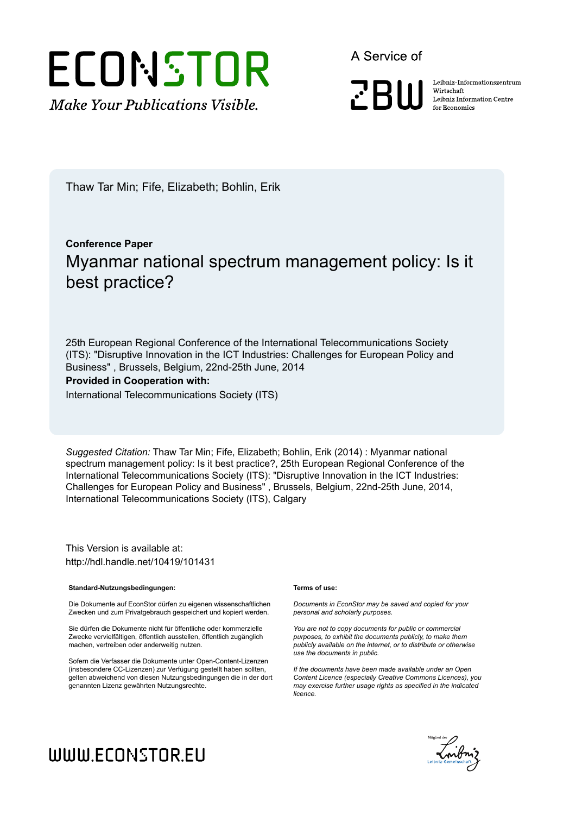# ECONSTOR **Make Your Publications Visible.**

A Service of

**PRIII** 

Leibniz Informationszentrum Wirtschaft Leibniz Information Centre for Economics

Thaw Tar Min; Fife, Elizabeth; Bohlin, Erik

### **Conference Paper** Myanmar national spectrum management policy: Is it best practice?

25th European Regional Conference of the International Telecommunications Society (ITS): "Disruptive Innovation in the ICT Industries: Challenges for European Policy and Business" , Brussels, Belgium, 22nd-25th June, 2014

#### **Provided in Cooperation with:**

International Telecommunications Society (ITS)

*Suggested Citation:* Thaw Tar Min; Fife, Elizabeth; Bohlin, Erik (2014) : Myanmar national spectrum management policy: Is it best practice?, 25th European Regional Conference of the International Telecommunications Society (ITS): "Disruptive Innovation in the ICT Industries: Challenges for European Policy and Business" , Brussels, Belgium, 22nd-25th June, 2014, International Telecommunications Society (ITS), Calgary

This Version is available at: http://hdl.handle.net/10419/101431

#### **Standard-Nutzungsbedingungen:**

Die Dokumente auf EconStor dürfen zu eigenen wissenschaftlichen Zwecken und zum Privatgebrauch gespeichert und kopiert werden.

Sie dürfen die Dokumente nicht für öffentliche oder kommerzielle Zwecke vervielfältigen, öffentlich ausstellen, öffentlich zugänglich machen, vertreiben oder anderweitig nutzen.

Sofern die Verfasser die Dokumente unter Open-Content-Lizenzen (insbesondere CC-Lizenzen) zur Verfügung gestellt haben sollten, gelten abweichend von diesen Nutzungsbedingungen die in der dort genannten Lizenz gewährten Nutzungsrechte.

#### **Terms of use:**

*Documents in EconStor may be saved and copied for your personal and scholarly purposes.*

*You are not to copy documents for public or commercial purposes, to exhibit the documents publicly, to make them publicly available on the internet, or to distribute or otherwise use the documents in public.*

*If the documents have been made available under an Open Content Licence (especially Creative Commons Licences), you may exercise further usage rights as specified in the indicated licence.*



## WWW.ECONSTOR.EU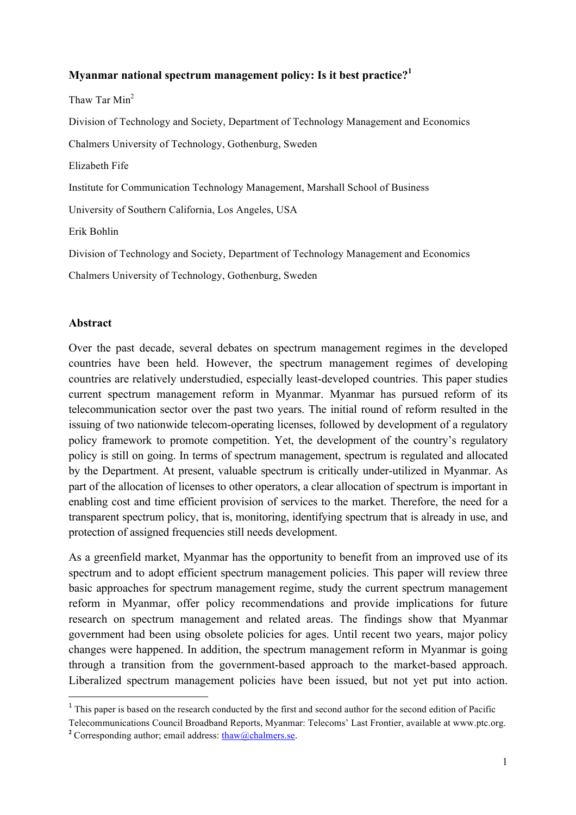#### **Myanmar national spectrum management policy: Is it best practice?<sup>1</sup>**

Thaw Tar Min<sup>2</sup>

Division of Technology and Society, Department of Technology Management and Economics

Chalmers University of Technology, Gothenburg, Sweden

Elizabeth Fife

Institute for Communication Technology Management, Marshall School of Business

University of Southern California, Los Angeles, USA

Erik Bohlin

Division of Technology and Society, Department of Technology Management and Economics

Chalmers University of Technology, Gothenburg, Sweden

#### **Abstract**

Over the past decade, several debates on spectrum management regimes in the developed countries have been held. However, the spectrum management regimes of developing countries are relatively understudied, especially least-developed countries. This paper studies current spectrum management reform in Myanmar. Myanmar has pursued reform of its telecommunication sector over the past two years. The initial round of reform resulted in the issuing of two nationwide telecom-operating licenses, followed by development of a regulatory policy framework to promote competition. Yet, the development of the country's regulatory policy is still on going. In terms of spectrum management, spectrum is regulated and allocated by the Department. At present, valuable spectrum is critically under-utilized in Myanmar. As part of the allocation of licenses to other operators, a clear allocation of spectrum is important in enabling cost and time efficient provision of services to the market. Therefore, the need for a transparent spectrum policy, that is, monitoring, identifying spectrum that is already in use, and protection of assigned frequencies still needs development.

As a greenfield market, Myanmar has the opportunity to benefit from an improved use of its spectrum and to adopt efficient spectrum management policies. This paper will review three basic approaches for spectrum management regime, study the current spectrum management reform in Myanmar, offer policy recommendations and provide implications for future research on spectrum management and related areas. The findings show that Myanmar government had been using obsolete policies for ages. Until recent two years, major policy changes were happened. In addition, the spectrum management reform in Myanmar is going through a transition from the government-based approach to the market-based approach. Liberalized spectrum management policies have been issued, but not yet put into action.

<u> 1989 - Johann Stein, fransk politik (d. 1989)</u>

<sup>&</sup>lt;sup>1</sup> This paper is based on the research conducted by the first and second author for the second edition of Pacific

Telecommunications Council Broadband Reports, Myanmar: Telecoms' Last Frontier, available at www.ptc.org.

<sup>&</sup>lt;sup>2</sup> Corresponding author; email address: thaw@chalmers.se.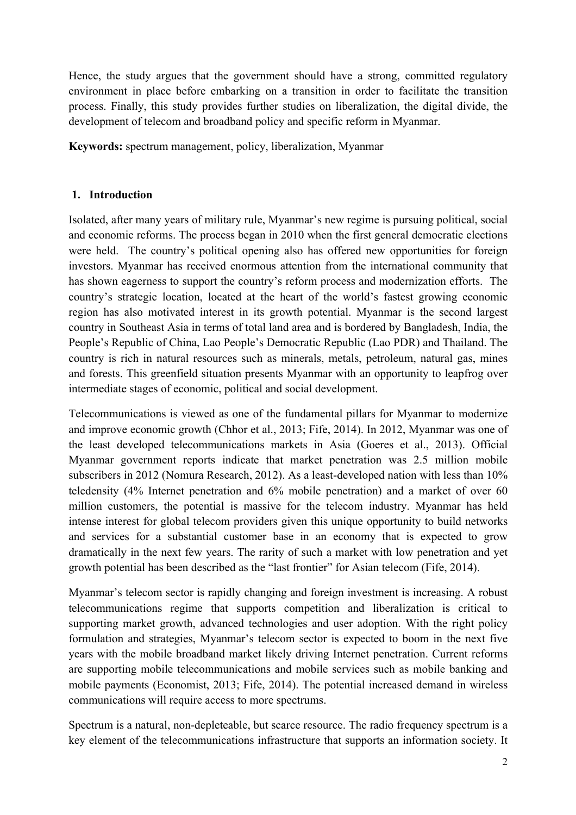Hence, the study argues that the government should have a strong, committed regulatory environment in place before embarking on a transition in order to facilitate the transition process. Finally, this study provides further studies on liberalization, the digital divide, the development of telecom and broadband policy and specific reform in Myanmar.

**Keywords:** spectrum management, policy, liberalization, Myanmar

#### **1. Introduction**

Isolated, after many years of military rule, Myanmar's new regime is pursuing political, social and economic reforms. The process began in 2010 when the first general democratic elections were held. The country's political opening also has offered new opportunities for foreign investors. Myanmar has received enormous attention from the international community that has shown eagerness to support the country's reform process and modernization efforts. The country's strategic location, located at the heart of the world's fastest growing economic region has also motivated interest in its growth potential. Myanmar is the second largest country in Southeast Asia in terms of total land area and is bordered by Bangladesh, India, the People's Republic of China, Lao People's Democratic Republic (Lao PDR) and Thailand. The country is rich in natural resources such as minerals, metals, petroleum, natural gas, mines and forests. This greenfield situation presents Myanmar with an opportunity to leapfrog over intermediate stages of economic, political and social development.

Telecommunications is viewed as one of the fundamental pillars for Myanmar to modernize and improve economic growth (Chhor et al., 2013; Fife, 2014). In 2012, Myanmar was one of the least developed telecommunications markets in Asia (Goeres et al., 2013). Official Myanmar government reports indicate that market penetration was 2.5 million mobile subscribers in 2012 (Nomura Research, 2012). As a least-developed nation with less than 10% teledensity (4% Internet penetration and 6% mobile penetration) and a market of over 60 million customers, the potential is massive for the telecom industry. Myanmar has held intense interest for global telecom providers given this unique opportunity to build networks and services for a substantial customer base in an economy that is expected to grow dramatically in the next few years. The rarity of such a market with low penetration and yet growth potential has been described as the "last frontier" for Asian telecom (Fife, 2014).

Myanmar's telecom sector is rapidly changing and foreign investment is increasing. A robust telecommunications regime that supports competition and liberalization is critical to supporting market growth, advanced technologies and user adoption. With the right policy formulation and strategies, Myanmar's telecom sector is expected to boom in the next five years with the mobile broadband market likely driving Internet penetration. Current reforms are supporting mobile telecommunications and mobile services such as mobile banking and mobile payments (Economist, 2013; Fife, 2014). The potential increased demand in wireless communications will require access to more spectrums.

Spectrum is a natural, non-depleteable, but scarce resource. The radio frequency spectrum is a key element of the telecommunications infrastructure that supports an information society. It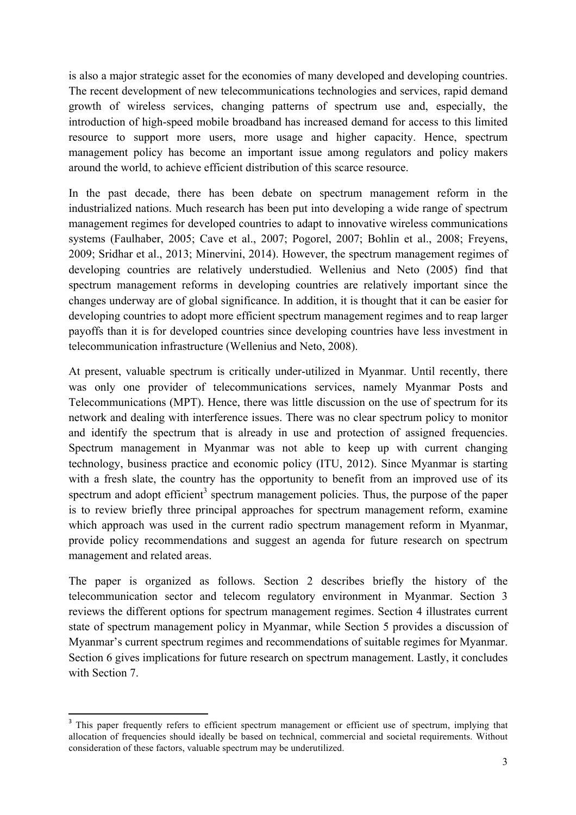is also a major strategic asset for the economies of many developed and developing countries. The recent development of new telecommunications technologies and services, rapid demand growth of wireless services, changing patterns of spectrum use and, especially, the introduction of high-speed mobile broadband has increased demand for access to this limited resource to support more users, more usage and higher capacity. Hence, spectrum management policy has become an important issue among regulators and policy makers around the world, to achieve efficient distribution of this scarce resource.

In the past decade, there has been debate on spectrum management reform in the industrialized nations. Much research has been put into developing a wide range of spectrum management regimes for developed countries to adapt to innovative wireless communications systems (Faulhaber, 2005; Cave et al., 2007; Pogorel, 2007; Bohlin et al., 2008; Freyens, 2009; Sridhar et al., 2013; Minervini, 2014). However, the spectrum management regimes of developing countries are relatively understudied. Wellenius and Neto (2005) find that spectrum management reforms in developing countries are relatively important since the changes underway are of global significance. In addition, it is thought that it can be easier for developing countries to adopt more efficient spectrum management regimes and to reap larger payoffs than it is for developed countries since developing countries have less investment in telecommunication infrastructure (Wellenius and Neto, 2008).

At present, valuable spectrum is critically under-utilized in Myanmar. Until recently, there was only one provider of telecommunications services, namely Myanmar Posts and Telecommunications (MPT). Hence, there was little discussion on the use of spectrum for its network and dealing with interference issues. There was no clear spectrum policy to monitor and identify the spectrum that is already in use and protection of assigned frequencies. Spectrum management in Myanmar was not able to keep up with current changing technology, business practice and economic policy (ITU, 2012). Since Myanmar is starting with a fresh slate, the country has the opportunity to benefit from an improved use of its spectrum and adopt efficient<sup>3</sup> spectrum management policies. Thus, the purpose of the paper is to review briefly three principal approaches for spectrum management reform, examine which approach was used in the current radio spectrum management reform in Myanmar, provide policy recommendations and suggest an agenda for future research on spectrum management and related areas.

The paper is organized as follows. Section 2 describes briefly the history of the telecommunication sector and telecom regulatory environment in Myanmar. Section 3 reviews the different options for spectrum management regimes. Section 4 illustrates current state of spectrum management policy in Myanmar, while Section 5 provides a discussion of Myanmar's current spectrum regimes and recommendations of suitable regimes for Myanmar. Section 6 gives implications for future research on spectrum management. Lastly, it concludes with Section 7.

 

<sup>&</sup>lt;sup>3</sup> This paper frequently refers to efficient spectrum management or efficient use of spectrum, implying that allocation of frequencies should ideally be based on technical, commercial and societal requirements. Without consideration of these factors, valuable spectrum may be underutilized.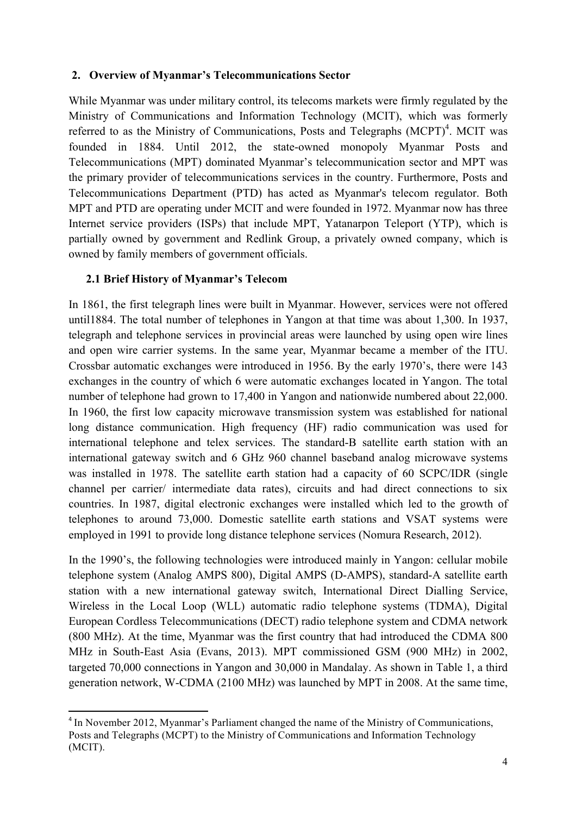#### **2. Overview of Myanmar's Telecommunications Sector**

While Myanmar was under military control, its telecoms markets were firmly regulated by the Ministry of Communications and Information Technology (MCIT), which was formerly referred to as the Ministry of Communications, Posts and Telegraphs  $(MCPT)^4$ . MCIT was founded in 1884. Until 2012, the state-owned monopoly Myanmar Posts and Telecommunications (MPT) dominated Myanmar's telecommunication sector and MPT was the primary provider of telecommunications services in the country. Furthermore, Posts and Telecommunications Department (PTD) has acted as Myanmar's telecom regulator. Both MPT and PTD are operating under MCIT and were founded in 1972. Myanmar now has three Internet service providers (ISPs) that include MPT, Yatanarpon Teleport (YTP), which is partially owned by government and Redlink Group, a privately owned company, which is owned by family members of government officials.

#### **2.1 Brief History of Myanmar's Telecom**

<u> 1989 - Johann Stein, fransk politik (d. 1989)</u>

In 1861, the first telegraph lines were built in Myanmar. However, services were not offered until1884. The total number of telephones in Yangon at that time was about 1,300. In 1937, telegraph and telephone services in provincial areas were launched by using open wire lines and open wire carrier systems. In the same year, Myanmar became a member of the ITU. Crossbar automatic exchanges were introduced in 1956. By the early 1970's, there were 143 exchanges in the country of which 6 were automatic exchanges located in Yangon. The total number of telephone had grown to 17,400 in Yangon and nationwide numbered about 22,000. In 1960, the first low capacity microwave transmission system was established for national long distance communication. High frequency (HF) radio communication was used for international telephone and telex services. The standard-B satellite earth station with an international gateway switch and 6 GHz 960 channel baseband analog microwave systems was installed in 1978. The satellite earth station had a capacity of 60 SCPC/IDR (single channel per carrier/ intermediate data rates), circuits and had direct connections to six countries. In 1987, digital electronic exchanges were installed which led to the growth of telephones to around 73,000. Domestic satellite earth stations and VSAT systems were employed in 1991 to provide long distance telephone services (Nomura Research, 2012).

In the 1990's, the following technologies were introduced mainly in Yangon: cellular mobile telephone system (Analog AMPS 800), Digital AMPS (D-AMPS), standard-A satellite earth station with a new international gateway switch, International Direct Dialling Service, Wireless in the Local Loop (WLL) automatic radio telephone systems (TDMA), Digital European Cordless Telecommunications (DECT) radio telephone system and CDMA network (800 MHz). At the time, Myanmar was the first country that had introduced the CDMA 800 MHz in South-East Asia (Evans, 2013). MPT commissioned GSM (900 MHz) in 2002, targeted 70,000 connections in Yangon and 30,000 in Mandalay. As shown in Table 1, a third generation network, W-CDMA (2100 MHz) was launched by MPT in 2008. At the same time,

<sup>&</sup>lt;sup>4</sup> In November 2012, Myanmar's Parliament changed the name of the Ministry of Communications, Posts and Telegraphs (MCPT) to the Ministry of Communications and Information Technology (MCIT).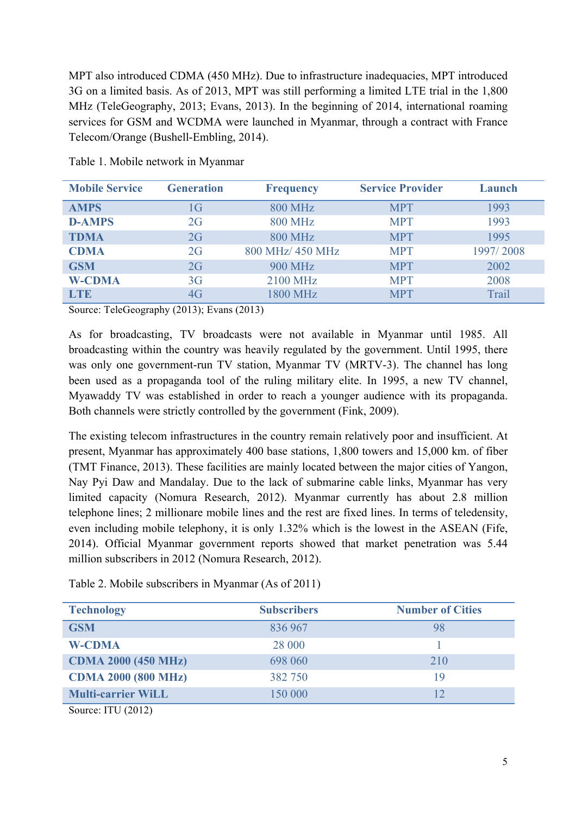MPT also introduced CDMA (450 MHz). Due to infrastructure inadequacies, MPT introduced 3G on a limited basis. As of 2013, MPT was still performing a limited LTE trial in the 1,800 MHz (TeleGeography, 2013; Evans, 2013). In the beginning of 2014, international roaming services for GSM and WCDMA were launched in Myanmar, through a contract with France Telecom/Orange (Bushell-Embling, 2014).

| <b>Mobile Service</b> | <b>Generation</b> | <b>Frequency</b> | <b>Service Provider</b> | Launch    |
|-----------------------|-------------------|------------------|-------------------------|-----------|
| <b>AMPS</b>           | 1G                | <b>800 MHz</b>   | <b>MPT</b>              | 1993      |
| <b>D-AMPS</b>         | 2G                | <b>800 MHz</b>   | <b>MPT</b>              | 1993      |
| <b>TDMA</b>           | 2G                | <b>800 MHz</b>   | <b>MPT</b>              | 1995      |
| <b>CDMA</b>           | 2G                | 800 MHz/ 450 MHz | <b>MPT</b>              | 1997/2008 |
| <b>GSM</b>            | 2G                | <b>900 MHz</b>   | <b>MPT</b>              | 2002      |
| <b>W-CDMA</b>         | 3 <sub>G</sub>    | 2100 MHz         | <b>MPT</b>              | 2008      |
| <b>LTE</b>            | 4G                | <b>1800 MHz</b>  | <b>MPT</b>              | Trail     |

Table 1. Mobile network in Myanmar

Source: TeleGeography (2013); Evans (2013)

As for broadcasting, TV broadcasts were not available in Myanmar until 1985. All broadcasting within the country was heavily regulated by the government. Until 1995, there was only one government-run TV station, Myanmar TV (MRTV-3). The channel has long been used as a propaganda tool of the ruling military elite. In 1995, a new TV channel, Myawaddy TV was established in order to reach a younger audience with its propaganda. Both channels were strictly controlled by the government (Fink, 2009).

The existing telecom infrastructures in the country remain relatively poor and insufficient. At present, Myanmar has approximately 400 base stations, 1,800 towers and 15,000 km. of fiber (TMT Finance, 2013). These facilities are mainly located between the major cities of Yangon, Nay Pyi Daw and Mandalay. Due to the lack of submarine cable links, Myanmar has very limited capacity (Nomura Research, 2012). Myanmar currently has about 2.8 million telephone lines; 2 millionare mobile lines and the rest are fixed lines. In terms of teledensity, even including mobile telephony, it is only 1.32% which is the lowest in the ASEAN (Fife, 2014). Official Myanmar government reports showed that market penetration was 5.44 million subscribers in 2012 (Nomura Research, 2012).

| <b>Technology</b>          | <b>Subscribers</b> | <b>Number of Cities</b> |
|----------------------------|--------------------|-------------------------|
| <b>GSM</b>                 | 836 967            | 98                      |
| <b>W-CDMA</b>              | 28 000             |                         |
| <b>CDMA 2000 (450 MHz)</b> | 698 060            | 210                     |
| <b>CDMA 2000 (800 MHz)</b> | 382 750            | 19                      |
| <b>Multi-carrier WiLL</b>  | 150 000            | 12                      |
| Source: ITU $(2012)$       |                    |                         |

Table 2. Mobile subscribers in Myanmar (As of 2011)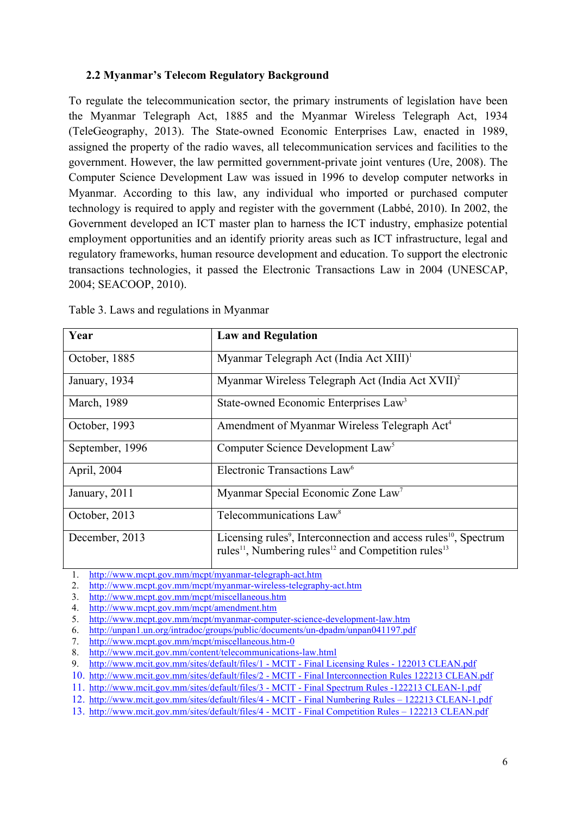#### **2.2 Myanmar's Telecom Regulatory Background**

To regulate the telecommunication sector, the primary instruments of legislation have been the Myanmar Telegraph Act, 1885 and the Myanmar Wireless Telegraph Act, 1934 (TeleGeography, 2013). The State-owned Economic Enterprises Law, enacted in 1989, assigned the property of the radio waves, all telecommunication services and facilities to the government. However, the law permitted government-private joint ventures (Ure, 2008). The Computer Science Development Law was issued in 1996 to develop computer networks in Myanmar. According to this law, any individual who imported or purchased computer technology is required to apply and register with the government (Labbé, 2010). In 2002, the Government developed an ICT master plan to harness the ICT industry, emphasize potential employment opportunities and an identify priority areas such as ICT infrastructure, legal and regulatory frameworks, human resource development and education. To support the electronic transactions technologies, it passed the Electronic Transactions Law in 2004 (UNESCAP, 2004; SEACOOP, 2010).

| Year            | <b>Law and Regulation</b>                                                                                                                                                           |
|-----------------|-------------------------------------------------------------------------------------------------------------------------------------------------------------------------------------|
| October, 1885   | Myanmar Telegraph Act (India Act XIII) <sup>1</sup>                                                                                                                                 |
| January, 1934   | Myanmar Wireless Telegraph Act (India Act XVII) <sup>2</sup>                                                                                                                        |
| March, 1989     | State-owned Economic Enterprises Law <sup>3</sup>                                                                                                                                   |
| October, 1993   | Amendment of Myanmar Wireless Telegraph Act <sup>4</sup>                                                                                                                            |
| September, 1996 | Computer Science Development Law <sup>5</sup>                                                                                                                                       |
| April, 2004     | Electronic Transactions Law <sup>6</sup>                                                                                                                                            |
| January, 2011   | Myanmar Special Economic Zone Law <sup>7</sup>                                                                                                                                      |
| October, 2013   | Telecommunications Law <sup>8</sup>                                                                                                                                                 |
| December, 2013  | Licensing rules <sup>9</sup> , Interconnection and access rules <sup>10</sup> , Spectrum<br>rules <sup>11</sup> , Numbering rules <sup>12</sup> and Competition rules <sup>13</sup> |

Table 3. Laws and regulations in Myanmar

1. http://www.mcpt.gov.mm/mcpt/myanmar-telegraph-act.htm

2. http://www.mcpt.gov.mm/mcpt/myanmar-wireless-telegraphy-act.htm

3. http://www.mcpt.gov.mm/mcpt/miscellaneous.htm

<sup>4.</sup> http://www.mcpt.gov.mm/mcpt/amendment.htm

<sup>5.</sup> http://www.mcpt.gov.mm/mcpt/myanmar-computer-science-development-law.htm

<sup>6.</sup> http://unpan1.un.org/intradoc/groups/public/documents/un-dpadm/unpan041197.pdf

<sup>7.</sup> http://www.mcpt.gov.mm/mcpt/miscellaneous.htm-0

<sup>8.</sup> http://www.mcit.gov.mm/content/telecommunications-law.html

<sup>9.</sup> http://www.mcit.gov.mm/sites/default/files/1 - MCIT - Final Licensing Rules - 122013 CLEAN.pdf

<sup>10.</sup> http://www.mcit.gov.mm/sites/default/files/2 - MCIT - Final Interconnection Rules 122213 CLEAN.pdf

<sup>11.</sup> http://www.mcit.gov.mm/sites/default/files/3 - MCIT - Final Spectrum Rules -122213 CLEAN-1.pdf

<sup>12.</sup> http://www.mcit.gov.mm/sites/default/files/4 - MCIT - Final Numbering Rules – 122213 CLEAN-1.pdf

<sup>13.</sup> http://www.mcit.gov.mm/sites/default/files/4 - MCIT - Final Competition Rules – 122213 CLEAN.pdf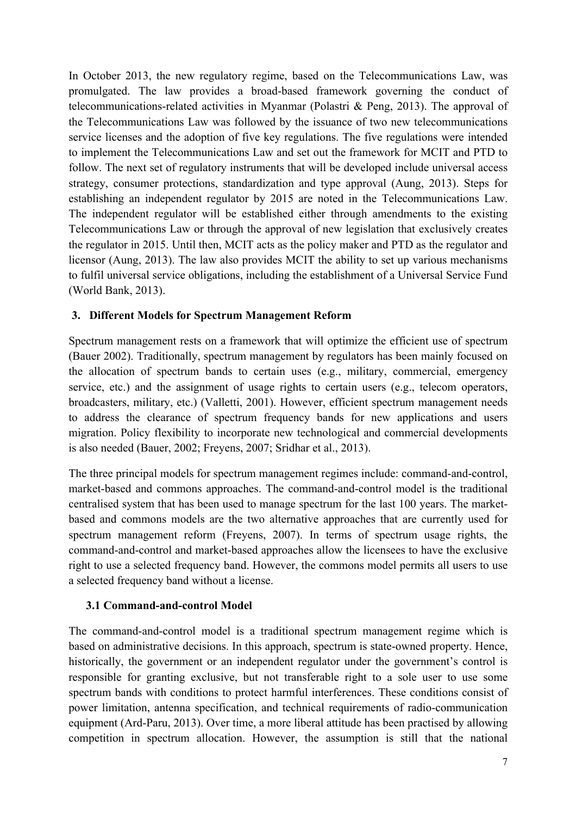In October 2013, the new regulatory regime, based on the Telecommunications Law, was promulgated. The law provides a broad-based framework governing the conduct of telecommunications-related activities in Myanmar (Polastri & Peng, 2013). The approval of the Telecommunications Law was followed by the issuance of two new telecommunications service licenses and the adoption of five key regulations. The five regulations were intended to implement the Telecommunications Law and set out the framework for MCIT and PTD to follow. The next set of regulatory instruments that will be developed include universal access strategy, consumer protections, standardization and type approval (Aung, 2013). Steps for establishing an independent regulator by 2015 are noted in the Telecommunications Law. The independent regulator will be established either through amendments to the existing Telecommunications Law or through the approval of new legislation that exclusively creates the regulator in 2015. Until then, MCIT acts as the policy maker and PTD as the regulator and licensor (Aung, 2013). The law also provides MCIT the ability to set up various mechanisms to fulfil universal service obligations, including the establishment of a Universal Service Fund (World Bank, 2013).

#### **3. Different Models for Spectrum Management Reform**

Spectrum management rests on a framework that will optimize the efficient use of spectrum (Bauer 2002). Traditionally, spectrum management by regulators has been mainly focused on the allocation of spectrum bands to certain uses (e.g., military, commercial, emergency service, etc.) and the assignment of usage rights to certain users (e.g., telecom operators, broadcasters, military, etc.) (Valletti, 2001). However, efficient spectrum management needs to address the clearance of spectrum frequency bands for new applications and users migration. Policy flexibility to incorporate new technological and commercial developments is also needed (Bauer, 2002; Freyens, 2007; Sridhar et al., 2013).

The three principal models for spectrum management regimes include: command-and-control, market-based and commons approaches. The command-and-control model is the traditional centralised system that has been used to manage spectrum for the last 100 years. The marketbased and commons models are the two alternative approaches that are currently used for spectrum management reform (Freyens, 2007). In terms of spectrum usage rights, the command-and-control and market-based approaches allow the licensees to have the exclusive right to use a selected frequency band. However, the commons model permits all users to use a selected frequency band without a license.

#### **3.1 Command-and-control Model**

The command-and-control model is a traditional spectrum management regime which is based on administrative decisions. In this approach, spectrum is state-owned property. Hence, historically, the government or an independent regulator under the government's control is responsible for granting exclusive, but not transferable right to a sole user to use some spectrum bands with conditions to protect harmful interferences. These conditions consist of power limitation, antenna specification, and technical requirements of radio-communication equipment (Ard-Paru, 2013). Over time, a more liberal attitude has been practised by allowing competition in spectrum allocation. However, the assumption is still that the national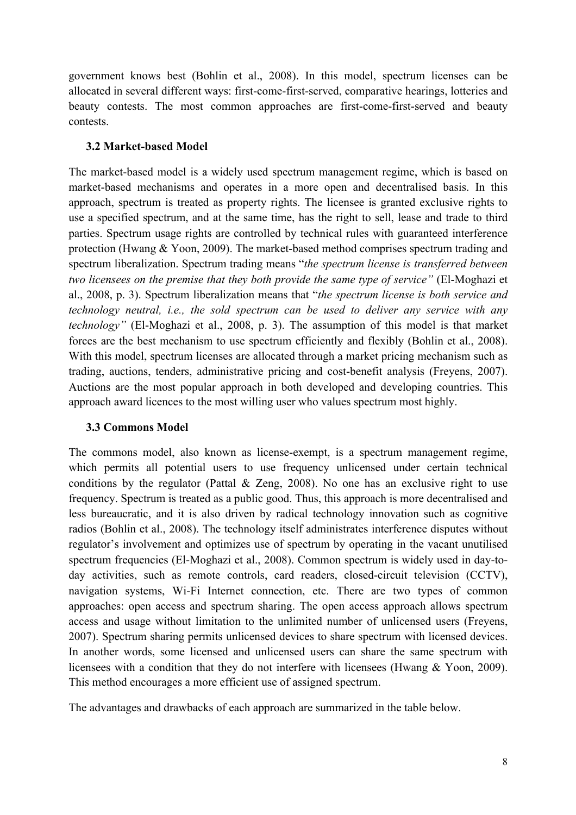government knows best (Bohlin et al., 2008). In this model, spectrum licenses can be allocated in several different ways: first-come-first-served, comparative hearings, lotteries and beauty contests. The most common approaches are first-come-first-served and beauty contests.

#### **3.2 Market-based Model**

The market-based model is a widely used spectrum management regime, which is based on market-based mechanisms and operates in a more open and decentralised basis. In this approach, spectrum is treated as property rights. The licensee is granted exclusive rights to use a specified spectrum, and at the same time, has the right to sell, lease and trade to third parties. Spectrum usage rights are controlled by technical rules with guaranteed interference protection (Hwang & Yoon, 2009). The market-based method comprises spectrum trading and spectrum liberalization. Spectrum trading means "*the spectrum license is transferred between two licensees on the premise that they both provide the same type of service"* (El-Moghazi et al., 2008, p. 3). Spectrum liberalization means that "*the spectrum license is both service and technology neutral, i.e., the sold spectrum can be used to deliver any service with any technology"* (El-Moghazi et al., 2008, p. 3). The assumption of this model is that market forces are the best mechanism to use spectrum efficiently and flexibly (Bohlin et al., 2008). With this model, spectrum licenses are allocated through a market pricing mechanism such as trading, auctions, tenders, administrative pricing and cost-benefit analysis (Freyens, 2007). Auctions are the most popular approach in both developed and developing countries. This approach award licences to the most willing user who values spectrum most highly.

#### **3.3 Commons Model**

The commons model, also known as license-exempt, is a spectrum management regime, which permits all potential users to use frequency unlicensed under certain technical conditions by the regulator (Pattal  $\&$  Zeng, 2008). No one has an exclusive right to use frequency. Spectrum is treated as a public good. Thus, this approach is more decentralised and less bureaucratic, and it is also driven by radical technology innovation such as cognitive radios (Bohlin et al., 2008). The technology itself administrates interference disputes without regulator's involvement and optimizes use of spectrum by operating in the vacant unutilised spectrum frequencies (El-Moghazi et al., 2008). Common spectrum is widely used in day-today activities, such as remote controls, card readers, closed-circuit television (CCTV), navigation systems, Wi-Fi Internet connection, etc. There are two types of common approaches: open access and spectrum sharing. The open access approach allows spectrum access and usage without limitation to the unlimited number of unlicensed users (Freyens, 2007). Spectrum sharing permits unlicensed devices to share spectrum with licensed devices. In another words, some licensed and unlicensed users can share the same spectrum with licensees with a condition that they do not interfere with licensees (Hwang & Yoon, 2009). This method encourages a more efficient use of assigned spectrum.

The advantages and drawbacks of each approach are summarized in the table below.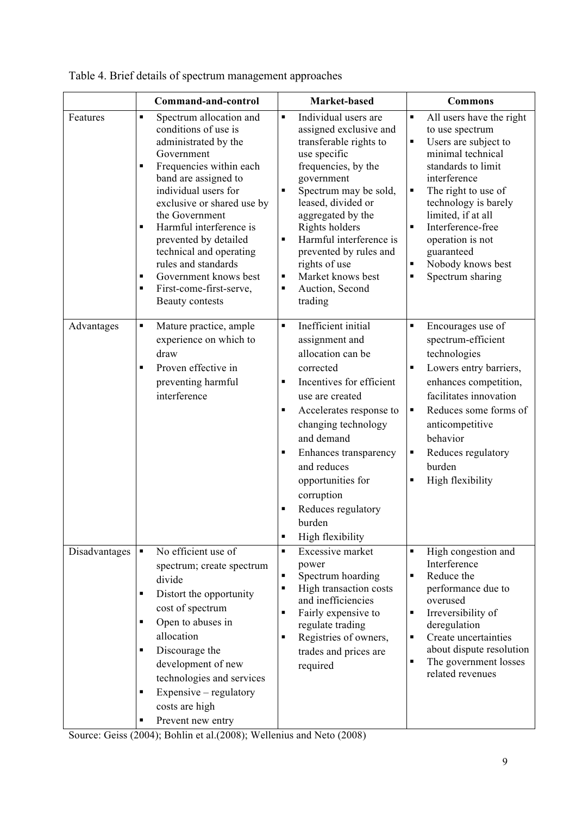|               | Command-and-control                                                                                                                                                                                                                                                                                                                                                                                                                                                                     | Market-based                                                                                                                                                                                                                                                                                                                                                                         | <b>Commons</b>                                                                                                                                                                                                                                                                                                                    |
|---------------|-----------------------------------------------------------------------------------------------------------------------------------------------------------------------------------------------------------------------------------------------------------------------------------------------------------------------------------------------------------------------------------------------------------------------------------------------------------------------------------------|--------------------------------------------------------------------------------------------------------------------------------------------------------------------------------------------------------------------------------------------------------------------------------------------------------------------------------------------------------------------------------------|-----------------------------------------------------------------------------------------------------------------------------------------------------------------------------------------------------------------------------------------------------------------------------------------------------------------------------------|
| Features      | Spectrum allocation and<br>$\blacksquare$<br>conditions of use is<br>administrated by the<br>Government<br>Frequencies within each<br>$\blacksquare$<br>band are assigned to<br>individual users for<br>exclusive or shared use by<br>the Government<br>Harmful interference is<br>$\blacksquare$<br>prevented by detailed<br>technical and operating<br>rules and standards<br>Government knows best<br>$\blacksquare$<br>First-come-first-serve,<br>$\blacksquare$<br>Beauty contests | Individual users are<br>×,<br>assigned exclusive and<br>transferable rights to<br>use specific<br>frequencies, by the<br>government<br>Spectrum may be sold,<br>٠<br>leased, divided or<br>aggregated by the<br>Rights holders<br>Harmful interference is<br>$\blacksquare$<br>prevented by rules and<br>rights of use<br>Market knows best<br>×,<br>Auction, Second<br>٠<br>trading | All users have the right<br>٠<br>to use spectrum<br>Users are subject to<br>٠<br>minimal technical<br>standards to limit<br>interference<br>The right to use of<br>٠<br>technology is barely<br>limited, if at all<br>Interference-free<br>٠<br>operation is not<br>guaranteed<br>Nobody knows best<br>٠<br>Spectrum sharing<br>٠ |
| Advantages    | Mature practice, ample<br>٠<br>experience on which to<br>draw<br>Proven effective in<br>$\blacksquare$<br>preventing harmful<br>interference                                                                                                                                                                                                                                                                                                                                            | Inefficient initial<br>٠<br>assignment and<br>allocation can be<br>corrected<br>Incentives for efficient<br>٠<br>use are created<br>٠<br>Accelerates response to<br>changing technology<br>and demand<br>Enhances transparency<br>٠<br>and reduces<br>opportunities for<br>corruption<br>Reduces regulatory<br>$\blacksquare$<br>burden<br>High flexibility<br>٠                     | Encourages use of<br>٠<br>spectrum-efficient<br>technologies<br>Lowers entry barriers,<br>٠<br>enhances competition,<br>facilitates innovation<br>Reduces some forms of<br>٠<br>anticompetitive<br>behavior<br>Reduces regulatory<br>٠<br>burden<br>High flexibility<br>٠                                                         |
| Disadvantages | No efficient use of<br>$\blacksquare$<br>spectrum; create spectrum<br>divide<br>Distort the opportunity<br>٠<br>cost of spectrum<br>Open to abuses in<br>٠<br>allocation<br>Discourage the<br>$\blacksquare$<br>development of new<br>technologies and services<br>Expensive – regulatory<br>٠<br>costs are high<br>Prevent new entry<br>٠                                                                                                                                              | Excessive market<br>$\blacksquare$<br>power<br>Spectrum hoarding<br>٠<br>High transaction costs<br>$\blacksquare$<br>and inefficiencies<br>Fairly expensive to<br>٠<br>regulate trading<br>Registries of owners,<br>٠<br>trades and prices are<br>required                                                                                                                           | High congestion and<br>٠<br>Interference<br>Reduce the<br>٠<br>performance due to<br>overused<br>Irreversibility of<br>٠<br>deregulation<br>Create uncertainties<br>٠<br>about dispute resolution<br>The government losses<br>٠<br>related revenues                                                                               |

Table 4. Brief details of spectrum management approaches

Source: Geiss (2004); Bohlin et al.(2008); Wellenius and Neto (2008)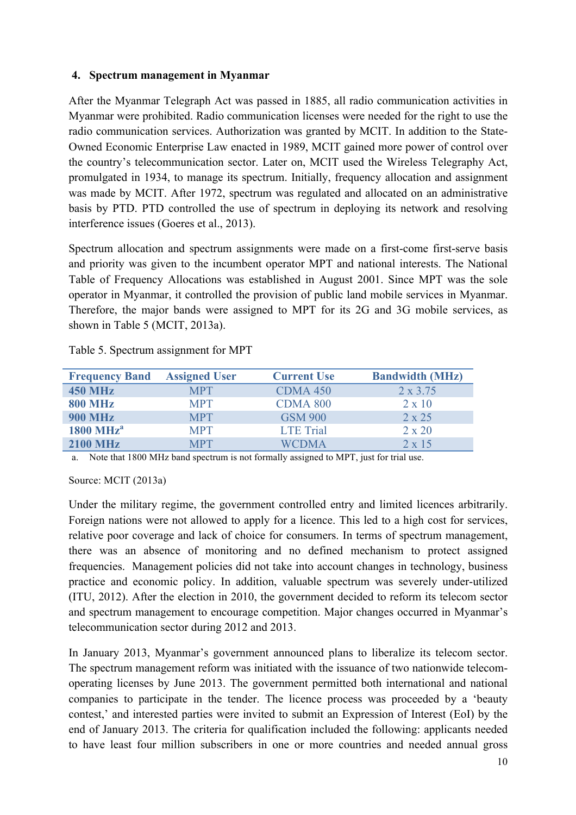#### **4. Spectrum management in Myanmar**

After the Myanmar Telegraph Act was passed in 1885, all radio communication activities in Myanmar were prohibited. Radio communication licenses were needed for the right to use the radio communication services. Authorization was granted by MCIT. In addition to the State-Owned Economic Enterprise Law enacted in 1989, MCIT gained more power of control over the country's telecommunication sector. Later on, MCIT used the Wireless Telegraphy Act, promulgated in 1934, to manage its spectrum. Initially, frequency allocation and assignment was made by MCIT. After 1972, spectrum was regulated and allocated on an administrative basis by PTD. PTD controlled the use of spectrum in deploying its network and resolving interference issues (Goeres et al., 2013).

Spectrum allocation and spectrum assignments were made on a first-come first-serve basis and priority was given to the incumbent operator MPT and national interests. The National Table of Frequency Allocations was established in August 2001. Since MPT was the sole operator in Myanmar, it controlled the provision of public land mobile services in Myanmar. Therefore, the major bands were assigned to MPT for its 2G and 3G mobile services, as shown in Table 5 (MCIT, 2013a).

| <b>Frequency Band</b>         | <b>Assigned User</b> | <b>Current Use</b> | <b>Bandwidth (MHz)</b> |
|-------------------------------|----------------------|--------------------|------------------------|
| <b>450 MHz</b>                | <b>MPT</b>           | <b>CDMA 450</b>    | $2 \times 3.75$        |
| <b>800 MHz</b>                | <b>MPT</b>           | <b>CDMA 800</b>    | $2 \times 10$          |
| <b>900 MHz</b>                | <b>MPT</b>           | <b>GSM 900</b>     | $2 \times 25$          |
| $1800 \text{ MHz}^{\text{a}}$ | <b>MPT</b>           | <b>LTE Trial</b>   | $2 \times 20$          |
| <b>2100 MHz</b>               | MPT                  | WCDMA              | $2 \times 15$          |

Table 5. Spectrum assignment for MPT

a. Note that 1800 MHz band spectrum is not formally assigned to MPT, just for trial use.

Source: MCIT (2013a)

Under the military regime, the government controlled entry and limited licences arbitrarily. Foreign nations were not allowed to apply for a licence. This led to a high cost for services, relative poor coverage and lack of choice for consumers. In terms of spectrum management, there was an absence of monitoring and no defined mechanism to protect assigned frequencies. Management policies did not take into account changes in technology, business practice and economic policy. In addition, valuable spectrum was severely under-utilized (ITU, 2012). After the election in 2010, the government decided to reform its telecom sector and spectrum management to encourage competition. Major changes occurred in Myanmar's telecommunication sector during 2012 and 2013.

In January 2013, Myanmar's government announced plans to liberalize its telecom sector. The spectrum management reform was initiated with the issuance of two nationwide telecomoperating licenses by June 2013. The government permitted both international and national companies to participate in the tender. The licence process was proceeded by a 'beauty contest,' and interested parties were invited to submit an Expression of Interest (EoI) by the end of January 2013. The criteria for qualification included the following: applicants needed to have least four million subscribers in one or more countries and needed annual gross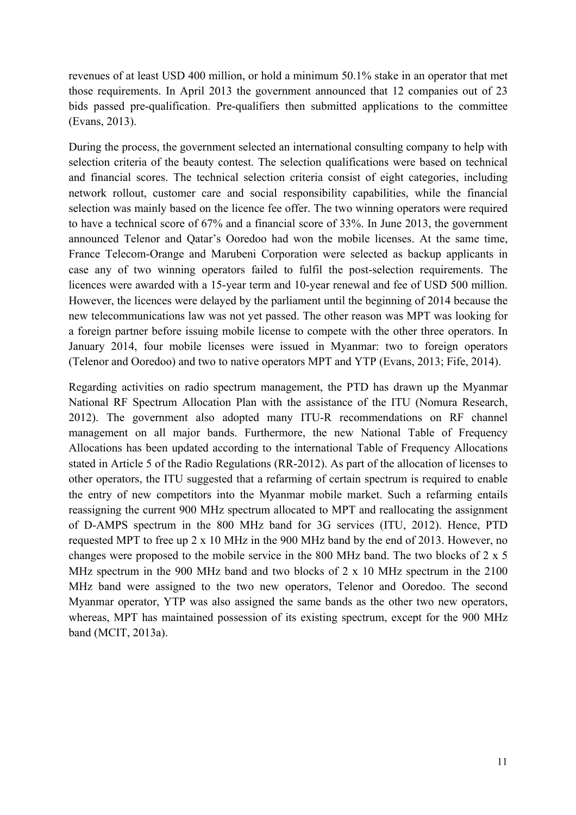revenues of at least USD 400 million, or hold a minimum 50.1% stake in an operator that met those requirements. In April 2013 the government announced that 12 companies out of 23 bids passed pre-qualification. Pre-qualifiers then submitted applications to the committee (Evans, 2013).

During the process, the government selected an international consulting company to help with selection criteria of the beauty contest. The selection qualifications were based on technical and financial scores. The technical selection criteria consist of eight categories, including network rollout, customer care and social responsibility capabilities, while the financial selection was mainly based on the licence fee offer. The two winning operators were required to have a technical score of 67% and a financial score of 33%. In June 2013, the government announced Telenor and Qatar's Ooredoo had won the mobile licenses. At the same time, France Telecom-Orange and Marubeni Corporation were selected as backup applicants in case any of two winning operators failed to fulfil the post-selection requirements. The licences were awarded with a 15-year term and 10-year renewal and fee of USD 500 million. However, the licences were delayed by the parliament until the beginning of 2014 because the new telecommunications law was not yet passed. The other reason was MPT was looking for a foreign partner before issuing mobile license to compete with the other three operators. In January 2014, four mobile licenses were issued in Myanmar: two to foreign operators (Telenor and Ooredoo) and two to native operators MPT and YTP (Evans, 2013; Fife, 2014).

Regarding activities on radio spectrum management, the PTD has drawn up the Myanmar National RF Spectrum Allocation Plan with the assistance of the ITU (Nomura Research, 2012). The government also adopted many ITU-R recommendations on RF channel management on all major bands. Furthermore, the new National Table of Frequency Allocations has been updated according to the international Table of Frequency Allocations stated in Article 5 of the Radio Regulations (RR-2012). As part of the allocation of licenses to other operators, the ITU suggested that a refarming of certain spectrum is required to enable the entry of new competitors into the Myanmar mobile market. Such a refarming entails reassigning the current 900 MHz spectrum allocated to MPT and reallocating the assignment of D-AMPS spectrum in the 800 MHz band for 3G services (ITU, 2012). Hence, PTD requested MPT to free up 2 x 10 MHz in the 900 MHz band by the end of 2013. However, no changes were proposed to the mobile service in the 800 MHz band. The two blocks of 2 x 5 MHz spectrum in the 900 MHz band and two blocks of 2 x 10 MHz spectrum in the 2100 MHz band were assigned to the two new operators, Telenor and Ooredoo. The second Myanmar operator, YTP was also assigned the same bands as the other two new operators, whereas, MPT has maintained possession of its existing spectrum, except for the 900 MHz band (MCIT, 2013a).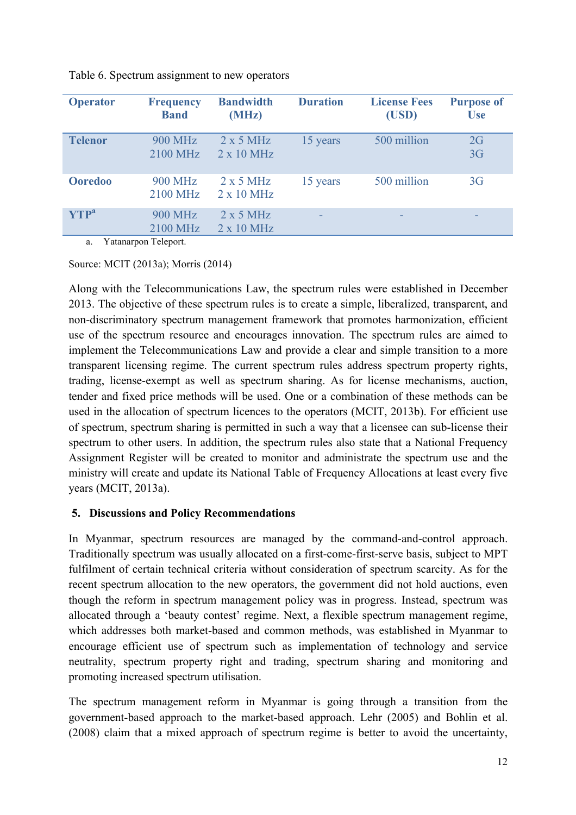| <b>Operator</b>                               | <b>Frequency</b><br><b>Band</b>                           | <b>Bandwidth</b><br>(MHz)    | <b>Duration</b> | <b>License Fees</b><br>(USD) | <b>Purpose of</b><br><b>Use</b> |
|-----------------------------------------------|-----------------------------------------------------------|------------------------------|-----------------|------------------------------|---------------------------------|
| <b>Telenor</b>                                | <b>900 MHz</b><br>2100 MHz                                | 2x5 MHz<br>$2 \times 10$ MHz | 15 years        | 500 million                  | 2G<br>3G                        |
| <b>Ooredoo</b>                                | <b>900 MHz</b><br>2100 MHz                                | 2x5 MHz<br>$2 \times 10$ MHz | 15 years        | 500 million                  | 3 <sub>G</sub>                  |
| $\mathbf{YTP}^{\mathbf{a}}$<br>$\mathbf{v}$ . | <b>900 MHz</b><br>2100 MHz<br>$\mathbf{m}$ 1 $\mathbf{m}$ | 2x5 MHz<br>$2 \times 10$ MHz |                 |                              |                                 |

Table 6. Spectrum assignment to new operators

a. Yatanarpon Teleport.

Source: MCIT (2013a); Morris (2014)

Along with the Telecommunications Law, the spectrum rules were established in December 2013. The objective of these spectrum rules is to create a simple, liberalized, transparent, and non-discriminatory spectrum management framework that promotes harmonization, efficient use of the spectrum resource and encourages innovation. The spectrum rules are aimed to implement the Telecommunications Law and provide a clear and simple transition to a more transparent licensing regime. The current spectrum rules address spectrum property rights, trading, license-exempt as well as spectrum sharing. As for license mechanisms, auction, tender and fixed price methods will be used. One or a combination of these methods can be used in the allocation of spectrum licences to the operators (MCIT, 2013b). For efficient use of spectrum, spectrum sharing is permitted in such a way that a licensee can sub-license their spectrum to other users. In addition, the spectrum rules also state that a National Frequency Assignment Register will be created to monitor and administrate the spectrum use and the ministry will create and update its National Table of Frequency Allocations at least every five years (MCIT, 2013a).

#### **5. Discussions and Policy Recommendations**

In Myanmar, spectrum resources are managed by the command-and-control approach. Traditionally spectrum was usually allocated on a first-come-first-serve basis, subject to MPT fulfilment of certain technical criteria without consideration of spectrum scarcity. As for the recent spectrum allocation to the new operators, the government did not hold auctions, even though the reform in spectrum management policy was in progress. Instead, spectrum was allocated through a 'beauty contest' regime. Next, a flexible spectrum management regime, which addresses both market-based and common methods, was established in Myanmar to encourage efficient use of spectrum such as implementation of technology and service neutrality, spectrum property right and trading, spectrum sharing and monitoring and promoting increased spectrum utilisation.

The spectrum management reform in Myanmar is going through a transition from the government-based approach to the market-based approach. Lehr (2005) and Bohlin et al. (2008) claim that a mixed approach of spectrum regime is better to avoid the uncertainty,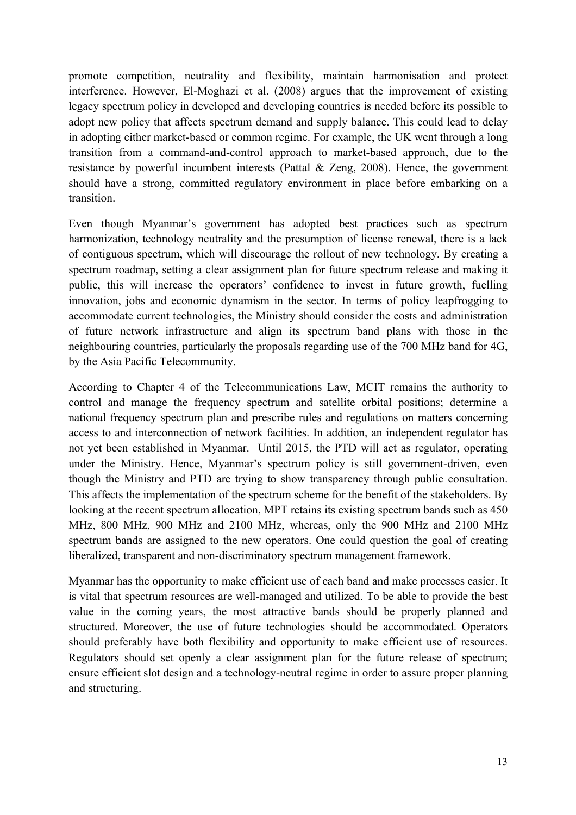promote competition, neutrality and flexibility, maintain harmonisation and protect interference. However, El-Moghazi et al. (2008) argues that the improvement of existing legacy spectrum policy in developed and developing countries is needed before its possible to adopt new policy that affects spectrum demand and supply balance. This could lead to delay in adopting either market-based or common regime. For example, the UK went through a long transition from a command-and-control approach to market-based approach, due to the resistance by powerful incumbent interests (Pattal & Zeng, 2008). Hence, the government should have a strong, committed regulatory environment in place before embarking on a transition.

Even though Myanmar's government has adopted best practices such as spectrum harmonization, technology neutrality and the presumption of license renewal, there is a lack of contiguous spectrum, which will discourage the rollout of new technology. By creating a spectrum roadmap, setting a clear assignment plan for future spectrum release and making it public, this will increase the operators' confidence to invest in future growth, fuelling innovation, jobs and economic dynamism in the sector. In terms of policy leapfrogging to accommodate current technologies, the Ministry should consider the costs and administration of future network infrastructure and align its spectrum band plans with those in the neighbouring countries, particularly the proposals regarding use of the 700 MHz band for 4G, by the Asia Pacific Telecommunity.

According to Chapter 4 of the Telecommunications Law, MCIT remains the authority to control and manage the frequency spectrum and satellite orbital positions; determine a national frequency spectrum plan and prescribe rules and regulations on matters concerning access to and interconnection of network facilities. In addition, an independent regulator has not yet been established in Myanmar. Until 2015, the PTD will act as regulator, operating under the Ministry. Hence, Myanmar's spectrum policy is still government-driven, even though the Ministry and PTD are trying to show transparency through public consultation. This affects the implementation of the spectrum scheme for the benefit of the stakeholders. By looking at the recent spectrum allocation, MPT retains its existing spectrum bands such as 450 MHz, 800 MHz, 900 MHz and 2100 MHz, whereas, only the 900 MHz and 2100 MHz spectrum bands are assigned to the new operators. One could question the goal of creating liberalized, transparent and non-discriminatory spectrum management framework.

Myanmar has the opportunity to make efficient use of each band and make processes easier. It is vital that spectrum resources are well-managed and utilized. To be able to provide the best value in the coming years, the most attractive bands should be properly planned and structured. Moreover, the use of future technologies should be accommodated. Operators should preferably have both flexibility and opportunity to make efficient use of resources. Regulators should set openly a clear assignment plan for the future release of spectrum; ensure efficient slot design and a technology-neutral regime in order to assure proper planning and structuring.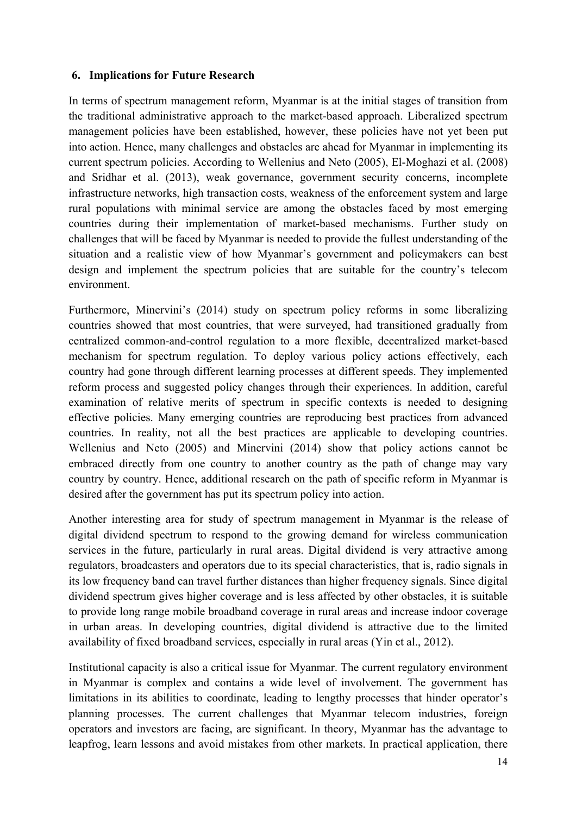#### **6. Implications for Future Research**

In terms of spectrum management reform, Myanmar is at the initial stages of transition from the traditional administrative approach to the market-based approach. Liberalized spectrum management policies have been established, however, these policies have not yet been put into action. Hence, many challenges and obstacles are ahead for Myanmar in implementing its current spectrum policies. According to Wellenius and Neto (2005), El-Moghazi et al. (2008) and Sridhar et al. (2013), weak governance, government security concerns, incomplete infrastructure networks, high transaction costs, weakness of the enforcement system and large rural populations with minimal service are among the obstacles faced by most emerging countries during their implementation of market-based mechanisms. Further study on challenges that will be faced by Myanmar is needed to provide the fullest understanding of the situation and a realistic view of how Myanmar's government and policymakers can best design and implement the spectrum policies that are suitable for the country's telecom environment.

Furthermore, Minervini's (2014) study on spectrum policy reforms in some liberalizing countries showed that most countries, that were surveyed, had transitioned gradually from centralized common-and-control regulation to a more flexible, decentralized market-based mechanism for spectrum regulation. To deploy various policy actions effectively, each country had gone through different learning processes at different speeds. They implemented reform process and suggested policy changes through their experiences. In addition, careful examination of relative merits of spectrum in specific contexts is needed to designing effective policies. Many emerging countries are reproducing best practices from advanced countries. In reality, not all the best practices are applicable to developing countries. Wellenius and Neto (2005) and Minervini (2014) show that policy actions cannot be embraced directly from one country to another country as the path of change may vary country by country. Hence, additional research on the path of specific reform in Myanmar is desired after the government has put its spectrum policy into action.

Another interesting area for study of spectrum management in Myanmar is the release of digital dividend spectrum to respond to the growing demand for wireless communication services in the future, particularly in rural areas. Digital dividend is very attractive among regulators, broadcasters and operators due to its special characteristics, that is, radio signals in its low frequency band can travel further distances than higher frequency signals. Since digital dividend spectrum gives higher coverage and is less affected by other obstacles, it is suitable to provide long range mobile broadband coverage in rural areas and increase indoor coverage in urban areas. In developing countries, digital dividend is attractive due to the limited availability of fixed broadband services, especially in rural areas (Yin et al., 2012).

Institutional capacity is also a critical issue for Myanmar. The current regulatory environment in Myanmar is complex and contains a wide level of involvement. The government has limitations in its abilities to coordinate, leading to lengthy processes that hinder operator's planning processes. The current challenges that Myanmar telecom industries, foreign operators and investors are facing, are significant. In theory, Myanmar has the advantage to leapfrog, learn lessons and avoid mistakes from other markets. In practical application, there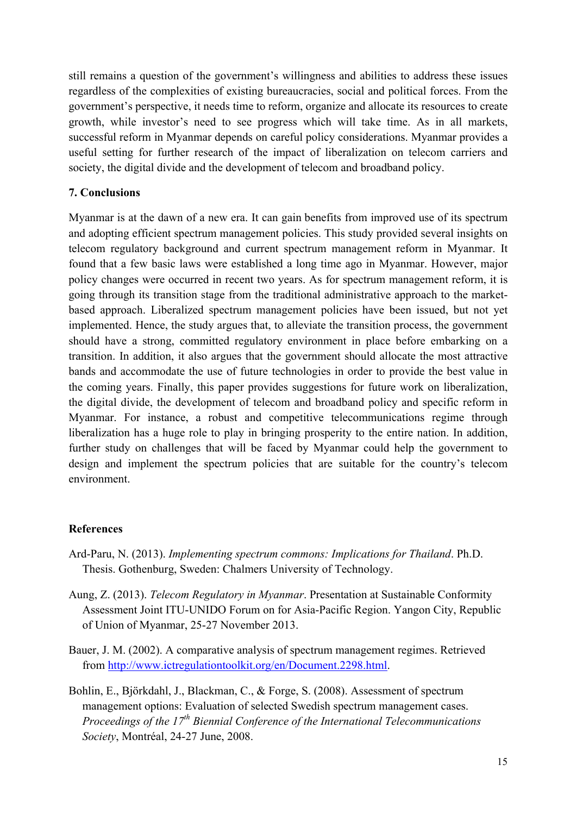still remains a question of the government's willingness and abilities to address these issues regardless of the complexities of existing bureaucracies, social and political forces. From the government's perspective, it needs time to reform, organize and allocate its resources to create growth, while investor's need to see progress which will take time. As in all markets, successful reform in Myanmar depends on careful policy considerations. Myanmar provides a useful setting for further research of the impact of liberalization on telecom carriers and society, the digital divide and the development of telecom and broadband policy.

#### **7. Conclusions**

Myanmar is at the dawn of a new era. It can gain benefits from improved use of its spectrum and adopting efficient spectrum management policies. This study provided several insights on telecom regulatory background and current spectrum management reform in Myanmar. It found that a few basic laws were established a long time ago in Myanmar. However, major policy changes were occurred in recent two years. As for spectrum management reform, it is going through its transition stage from the traditional administrative approach to the marketbased approach. Liberalized spectrum management policies have been issued, but not yet implemented. Hence, the study argues that, to alleviate the transition process, the government should have a strong, committed regulatory environment in place before embarking on a transition. In addition, it also argues that the government should allocate the most attractive bands and accommodate the use of future technologies in order to provide the best value in the coming years. Finally, this paper provides suggestions for future work on liberalization, the digital divide, the development of telecom and broadband policy and specific reform in Myanmar. For instance, a robust and competitive telecommunications regime through liberalization has a huge role to play in bringing prosperity to the entire nation. In addition, further study on challenges that will be faced by Myanmar could help the government to design and implement the spectrum policies that are suitable for the country's telecom environment.

#### **References**

- Ard-Paru, N. (2013). *Implementing spectrum commons: Implications for Thailand*. Ph.D. Thesis. Gothenburg, Sweden: Chalmers University of Technology.
- Aung, Z. (2013). *Telecom Regulatory in Myanmar*. Presentation at Sustainable Conformity Assessment Joint ITU-UNIDO Forum on for Asia-Pacific Region. Yangon City, Republic of Union of Myanmar, 25-27 November 2013.
- Bauer, J. M. (2002). A comparative analysis of spectrum management regimes. Retrieved from http://www.ictregulationtoolkit.org/en/Document.2298.html.
- Bohlin, E., Björkdahl, J., Blackman, C., & Forge, S. (2008). Assessment of spectrum management options: Evaluation of selected Swedish spectrum management cases. *Proceedings of the 17th Biennial Conference of the International Telecommunications Society*, Montréal, 24-27 June, 2008.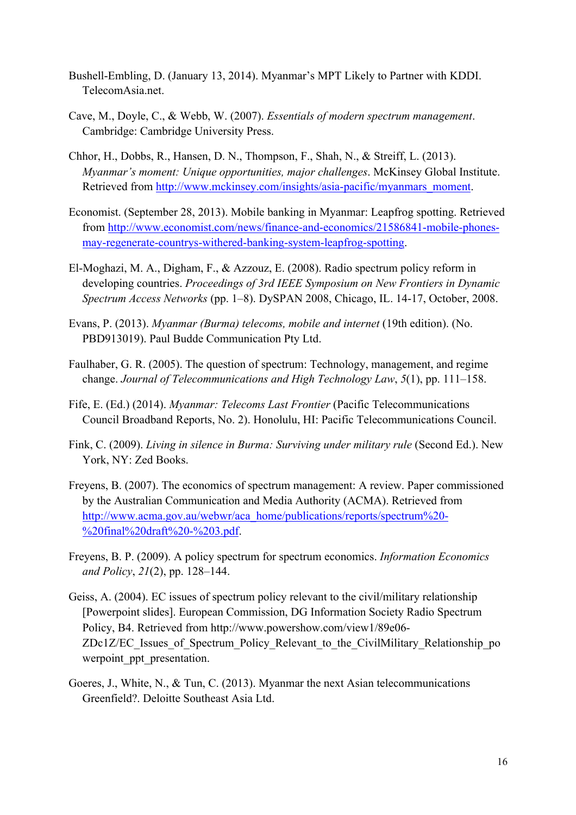- Bushell-Embling, D. (January 13, 2014). Myanmar's MPT Likely to Partner with KDDI. TelecomAsia.net.
- Cave, M., Doyle, C., & Webb, W. (2007). *Essentials of modern spectrum management*. Cambridge: Cambridge University Press.
- Chhor, H., Dobbs, R., Hansen, D. N., Thompson, F., Shah, N., & Streiff, L. (2013). *Myanmar's moment: Unique opportunities, major challenges*. McKinsey Global Institute. Retrieved from http://www.mckinsey.com/insights/asia-pacific/myanmars\_moment.
- Economist. (September 28, 2013). Mobile banking in Myanmar: Leapfrog spotting. Retrieved from http://www.economist.com/news/finance-and-economics/21586841-mobile-phonesmay-regenerate-countrys-withered-banking-system-leapfrog-spotting.
- El-Moghazi, M. A., Digham, F., & Azzouz, E. (2008). Radio spectrum policy reform in developing countries. *Proceedings of 3rd IEEE Symposium on New Frontiers in Dynamic Spectrum Access Networks* (pp. 1–8). DySPAN 2008, Chicago, IL. 14-17, October, 2008.
- Evans, P. (2013). *Myanmar (Burma) telecoms, mobile and internet* (19th edition). (No. PBD913019). Paul Budde Communication Pty Ltd.
- Faulhaber, G. R. (2005). The question of spectrum: Technology, management, and regime change. *Journal of Telecommunications and High Technology Law*, *5*(1), pp. 111–158.
- Fife, E. (Ed.) (2014). *Myanmar: Telecoms Last Frontier* (Pacific Telecommunications Council Broadband Reports, No. 2). Honolulu, HI: Pacific Telecommunications Council.
- Fink, C. (2009). *Living in silence in Burma: Surviving under military rule* (Second Ed.). New York, NY: Zed Books.
- Freyens, B. (2007). The economics of spectrum management: A review. Paper commissioned by the Australian Communication and Media Authority (ACMA). Retrieved from http://www.acma.gov.au/webwr/aca\_home/publications/reports/spectrum%20- %20final%20draft%20-%203.pdf.
- Freyens, B. P. (2009). A policy spectrum for spectrum economics. *Information Economics and Policy*, *21*(2), pp. 128–144.
- Geiss, A. (2004). EC issues of spectrum policy relevant to the civil/military relationship [Powerpoint slides]. European Commission, DG Information Society Radio Spectrum Policy, B4. Retrieved from http://www.powershow.com/view1/89e06- ZDc1Z/EC\_Issues\_of\_Spectrum\_Policy\_Relevant\_to\_the\_CivilMilitary\_Relationship\_po werpoint ppt presentation.
- Goeres, J., White, N., & Tun, C. (2013). Myanmar the next Asian telecommunications Greenfield?. Deloitte Southeast Asia Ltd.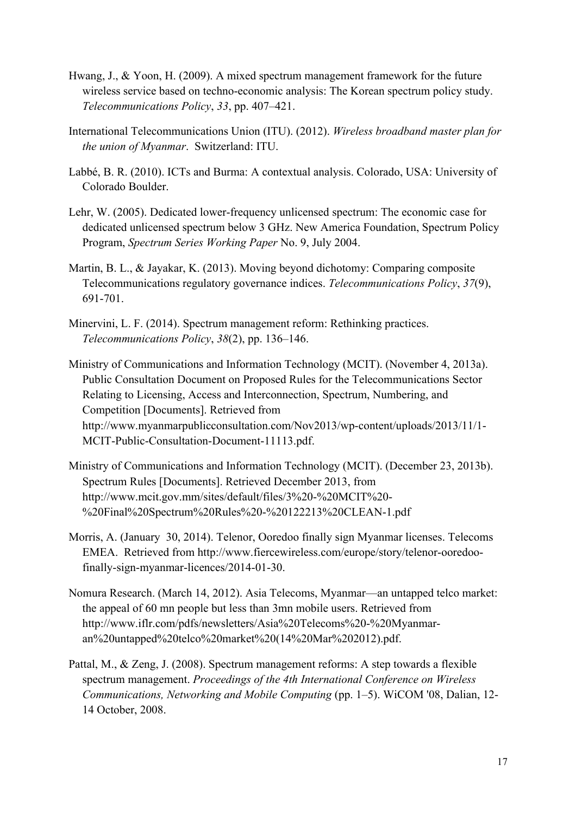- Hwang, J., & Yoon, H. (2009). A mixed spectrum management framework for the future wireless service based on techno-economic analysis: The Korean spectrum policy study. *Telecommunications Policy*, *33*, pp. 407–421.
- International Telecommunications Union (ITU). (2012). *Wireless broadband master plan for the union of Myanmar*. Switzerland: ITU.
- Labbé, B. R. (2010). ICTs and Burma: A contextual analysis. Colorado, USA: University of Colorado Boulder.
- Lehr, W. (2005). Dedicated lower-frequency unlicensed spectrum: The economic case for dedicated unlicensed spectrum below 3 GHz. New America Foundation, Spectrum Policy Program, *Spectrum Series Working Paper* No. 9, July 2004.
- Martin, B. L., & Jayakar, K. (2013). Moving beyond dichotomy: Comparing composite Telecommunications regulatory governance indices. *Telecommunications Policy*, *37*(9), 691-701.
- Minervini, L. F. (2014). Spectrum management reform: Rethinking practices. *Telecommunications Policy*, *38*(2), pp. 136–146.
- Ministry of Communications and Information Technology (MCIT). (November 4, 2013a). Public Consultation Document on Proposed Rules for the Telecommunications Sector Relating to Licensing, Access and Interconnection, Spectrum, Numbering, and Competition [Documents]. Retrieved from http://www.myanmarpublicconsultation.com/Nov2013/wp-content/uploads/2013/11/1- MCIT-Public-Consultation-Document-11113.pdf.
- Ministry of Communications and Information Technology (MCIT). (December 23, 2013b). Spectrum Rules [Documents]. Retrieved December 2013, from http://www.mcit.gov.mm/sites/default/files/3%20-%20MCIT%20- %20Final%20Spectrum%20Rules%20-%20122213%20CLEAN-1.pdf
- Morris, A. (January 30, 2014). Telenor, Ooredoo finally sign Myanmar licenses. Telecoms EMEA. Retrieved from http://www.fiercewireless.com/europe/story/telenor-ooredoofinally-sign-myanmar-licences/2014-01-30.
- Nomura Research. (March 14, 2012). Asia Telecoms, Myanmar—an untapped telco market: the appeal of 60 mn people but less than 3mn mobile users. Retrieved from http://www.iflr.com/pdfs/newsletters/Asia%20Telecoms%20-%20Myanmaran%20untapped%20telco%20market%20(14%20Mar%202012).pdf.
- Pattal, M., & Zeng, J. (2008). Spectrum management reforms: A step towards a flexible spectrum management. *Proceedings of the 4th International Conference on Wireless Communications, Networking and Mobile Computing (pp. 1–5).* WiCOM '08, Dalian, 12-14 October, 2008.